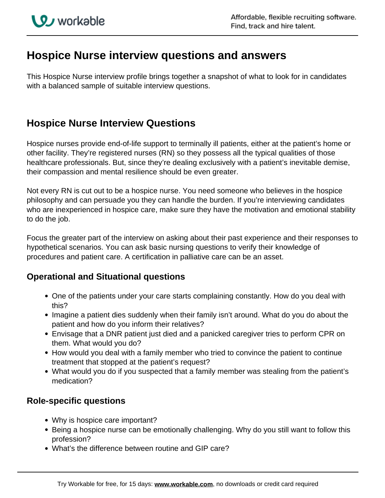# **Hospice Nurse interview questions and answers**

This Hospice Nurse interview profile brings together a snapshot of what to look for in candidates with a balanced sample of suitable interview questions.

## **Hospice Nurse Interview Questions**

Hospice nurses provide end-of-life support to terminally ill patients, either at the patient's home or other facility. They're registered nurses (RN) so they possess all the typical qualities of those healthcare professionals. But, since they're dealing exclusively with a patient's inevitable demise, their compassion and mental resilience should be even greater.

Not every RN is cut out to be a hospice nurse. You need someone who believes in the hospice philosophy and can persuade you they can handle the burden. If you're interviewing candidates who are inexperienced in hospice care, make sure they have the motivation and emotional stability to do the job.

Focus the greater part of the interview on asking about their past experience and their responses to hypothetical scenarios. You can ask basic nursing questions to verify their knowledge of procedures and patient care. A certification in palliative care can be an asset.

### **Operational and Situational questions**

- One of the patients under your care starts complaining constantly. How do you deal with this?
- Imagine a patient dies suddenly when their family isn't around. What do you do about the patient and how do you inform their relatives?
- Envisage that a DNR patient just died and a panicked caregiver tries to perform CPR on them. What would you do?
- How would you deal with a family member who tried to convince the patient to continue treatment that stopped at the patient's request?
- What would you do if you suspected that a family member was stealing from the patient's medication?

### **Role-specific questions**

- Why is hospice care important?
- Being a hospice nurse can be emotionally challenging. Why do you still want to follow this profession?
- What's the difference between routine and GIP care?